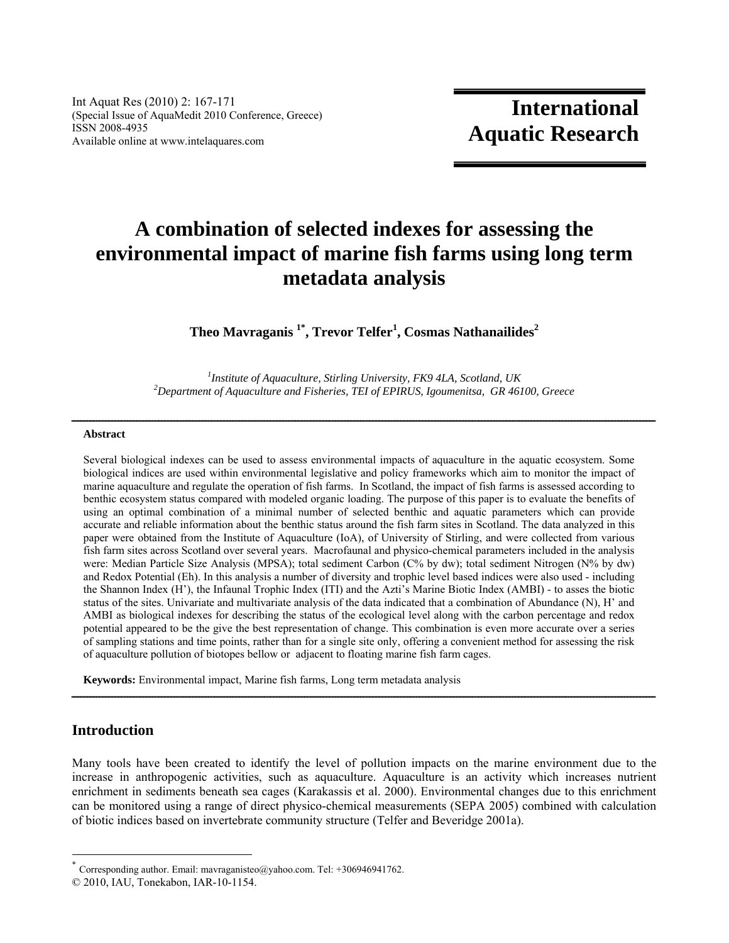Int Aquat Res (2010) 2: 167-171 (Special Issue of AquaMedit 2010 Conference, Greece) ISSN 2008-4935 Available online at www.intelaquares.com

# **A combination of selected indexes for assessing the environmental impact of marine fish farms using long term metadata analysis**

**Theo Mavraganis 1\*, Trevor Telfer1 , Cosmas Nathanailides<sup>2</sup>**

<sup>1</sup> *Institute of Aquaculture, Stirling University, FK9 4LA, Scotland, UK*<br><sup>2</sup> Department of Aquaculture and Fisheries, TFL of FPIPUS, Joeumanites, CP 46 *Department of Aquaculture and Fisheries, TEI of EPIRUS, Igoumenitsa, GR 46100, Greece* 

# $A b struct \hat{a} = \hat{a} + \hat{b} = \hat{b}$

Several biological indexes can be used to assess environmental impacts of aquaculture in the aquatic ecosystem. Some biological indices are used within environmental legislative and policy frameworks which aim to monitor the impact of marine aquaculture and regulate the operation of fish farms. In Scotland, the impact of fish farms is assessed according to benthic ecosystem status compared with modeled organic loading. The purpose of this paper is to evaluate the benefits of using an optimal combination of a minimal number of selected benthic and aquatic parameters which can provide accurate and reliable information about the benthic status around the fish farm sites in Scotland. The data analyzed in this paper were obtained from the Institute of Aquaculture (IoA), of University of Stirling, and were collected from various fish farm sites across Scotland over several years. Macrofaunal and physico-chemical parameters included in the analysis were: Median Particle Size Analysis (MPSA); total sediment Carbon (C% by dw); total sediment Nitrogen (N% by dw) and Redox Potential (Eh). In this analysis a number of diversity and trophic level based indices were also used - including the Shannon Index (H'), the Infaunal Trophic Index (ITI) and the Azti's Marine Biotic Index (AMBI) - to asses the biotic status of the sites. Univariate and multivariate analysis of the data indicated that a combination of Abundance (N), H' and AMBI as biological indexes for describing the status of the ecological level along with the carbon percentage and redox potential appeared to be the give the best representation of change. This combination is even more accurate over a series of sampling stations and time points, rather than for a single site only, offering a convenient method for assessing the risk of aquaculture pollution of biotopes bellow or adjacent to floating marine fish farm cages.

**Keywords:** Environmental impact, Marine fish farms, Long term metadata analysis

## **Introduction**

l

Many tools have been created to identify the level of pollution impacts on the marine environment due to the increase in anthropogenic activities, such as aquaculture. Aquaculture is an activity which increases nutrient enrichment in sediments beneath sea cages (Karakassis et al. 2000). Environmental changes due to this enrichment can be monitored using a range of direct physico-chemical measurements (SEPA 2005) combined with calculation of biotic indices based on invertebrate community structure (Telfer and Beveridge 2001a).

ــــــــــــــــــــــــــــــــــــــــــــــــــــــــــــــــــــــــــــــــــــــــــــــــــــــــــــــــــــــــــــــــــــــــــــــــــــــــــــــــــــــــــــــــــــــــــــ

Corresponding author. Email: mavraganisteo@yahoo.com. Tel: +306946941762.

<sup>© 2010,</sup> IAU, Tonekabon, IAR-10-1154.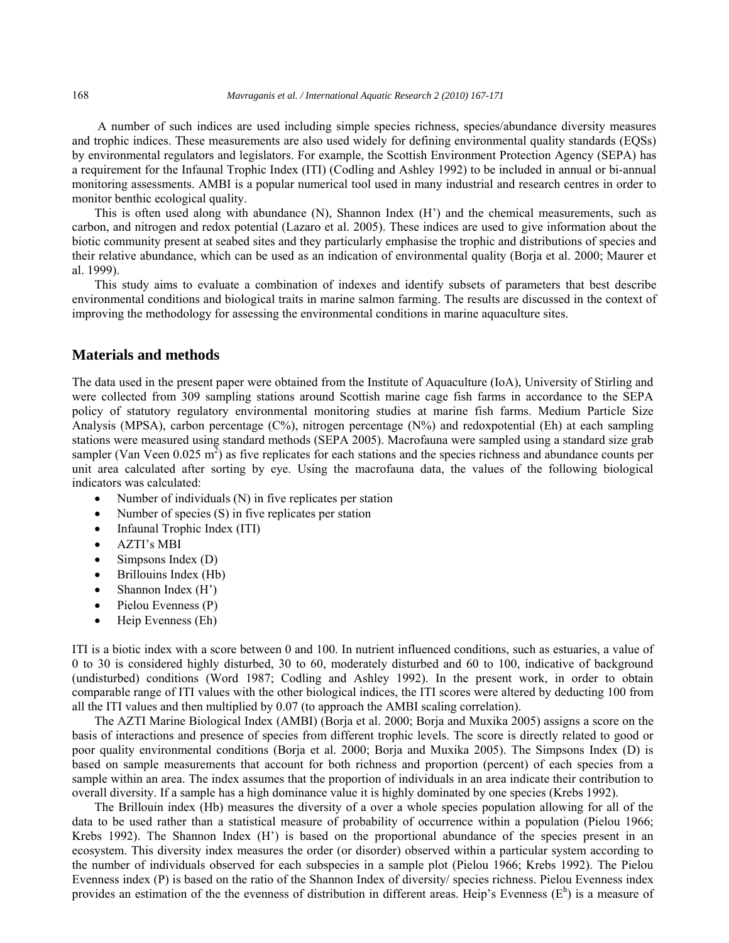A number of such indices are used including simple species richness, species/abundance diversity measures and trophic indices. These measurements are also used widely for defining environmental quality standards (EQSs) by environmental regulators and legislators. For example, the Scottish Environment Protection Agency (SEPA) has a requirement for the Infaunal Trophic Index (ITI) (Codling and Ashley 1992) to be included in annual or bi-annual monitoring assessments. AMBI is a popular numerical tool used in many industrial and research centres in order to monitor benthic ecological quality.

This is often used along with abundance (N), Shannon Index (H') and the chemical measurements, such as carbon, and nitrogen and redox potential (Lazaro et al. 2005). These indices are used to give information about the biotic community present at seabed sites and they particularly emphasise the trophic and distributions of species and their relative abundance, which can be used as an indication of environmental quality (Borja et al. 2000; Maurer et al. 1999).

This study aims to evaluate a combination of indexes and identify subsets of parameters that best describe environmental conditions and biological traits in marine salmon farming. The results are discussed in the context of improving the methodology for assessing the environmental conditions in marine aquaculture sites.

#### **Materials and methods**

The data used in the present paper were obtained from the Institute of Aquaculture (IoA), University of Stirling and were collected from 309 sampling stations around Scottish marine cage fish farms in accordance to the SEPA policy of statutory regulatory environmental monitoring studies at marine fish farms. Medium Particle Size Analysis (MPSA), carbon percentage (C%), nitrogen percentage (N%) and redoxpotential (Eh) at each sampling stations were measured using standard methods (SEPA 2005). Macrofauna were sampled using a standard size grab sampler (Van Veen  $0.025 \text{ m}^2$ ) as five replicates for each stations and the species richness and abundance counts per unit area calculated after sorting by eye. Using the macrofauna data, the values of the following biological indicators was calculated:

- Number of individuals  $(N)$  in five replicates per station
- Number of species  $(S)$  in five replicates per station
- Infaunal Trophic Index (ITI)
- AZTI's MBI
- Simpsons Index (D)
- Brillouins Index (Hb)
- $\bullet$  Shannon Index (H')
- $\bullet$  Pielou Evenness (P)
- Heip Evenness (Eh)

ITI is a biotic index with a score between 0 and 100. In nutrient influenced conditions, such as estuaries, a value of 0 to 30 is considered highly disturbed, 30 to 60, moderately disturbed and 60 to 100, indicative of background (undisturbed) conditions (Word 1987; Codling and Ashley 1992). In the present work, in order to obtain comparable range of ITI values with the other biological indices, the ITI scores were altered by deducting 100 from all the ITI values and then multiplied by 0.07 (to approach the AMBI scaling correlation).

The AZTI Marine Biological Index (AMBI) (Borja et al. 2000; Borja and Muxika 2005) assigns a score on the basis of interactions and presence of species from different trophic levels. The score is directly related to good or poor quality environmental conditions (Borja et al. 2000; Borja and Muxika 2005). The Simpsons Index (D) is based on sample measurements that account for both richness and proportion (percent) of each species from a sample within an area. The index assumes that the proportion of individuals in an area indicate their contribution to overall diversity. If a sample has a high dominance value it is highly dominated by one species (Krebs 1992).

The Brillouin index (Hb) measures the diversity of a over a whole species population allowing for all of the data to be used rather than a statistical measure of probability of occurrence within a population (Pielou 1966; Krebs 1992). The Shannon Index (H') is based on the proportional abundance of the species present in an ecosystem. This diversity index measures the order (or disorder) observed within a particular system according to the number of individuals observed for each subspecies in a sample plot (Pielou 1966; Krebs 1992). The Pielou Evenness index (P) is based on the ratio of the Shannon Index of diversity/ species richness. Pielou Evenness index provides an estimation of the the evenness of distribution in different areas. Heip's Evenness  $(E^h)$  is a measure of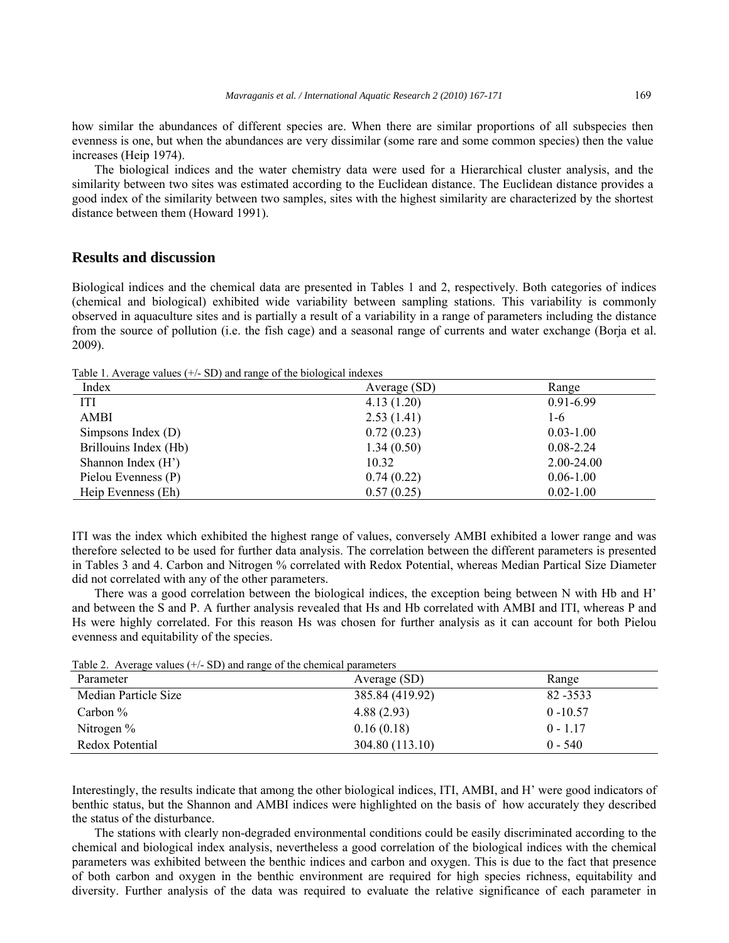how similar the abundances of different species are. When there are similar proportions of all subspecies then evenness is one, but when the abundances are very dissimilar (some rare and some common species) then the value increases (Heip 1974).

The biological indices and the water chemistry data were used for a Hierarchical cluster analysis, and the similarity between two sites was estimated according to the Euclidean distance. The Euclidean distance provides a good index of the similarity between two samples, sites with the highest similarity are characterized by the shortest distance between them (Howard 1991).

# **Results and discussion**

Biological indices and the chemical data are presented in Tables 1 and 2, respectively. Both categories of indices (chemical and biological) exhibited wide variability between sampling stations. This variability is commonly observed in aquaculture sites and is partially a result of a variability in a range of parameters including the distance from the source of pollution (i.e. the fish cage) and a seasonal range of currents and water exchange (Borja et al. 2009).

Table 1. Average values (+/- SD) and range of the biological indexes

| Index                 | Average (SD) | Range         |
|-----------------------|--------------|---------------|
| ITI                   | 4.13(1.20)   | $0.91 - 6.99$ |
| <b>AMBI</b>           | 2.53(1.41)   | 1-6           |
| Simpsons Index $(D)$  | 0.72(0.23)   | $0.03 - 1.00$ |
| Brillouins Index (Hb) | 1.34(0.50)   | $0.08 - 2.24$ |
| Shannon Index $(H')$  | 10.32        | 2.00-24.00    |
| Pielou Evenness (P)   | 0.74(0.22)   | $0.06 - 1.00$ |
| Heip Evenness (Eh)    | 0.57(0.25)   | $0.02 - 1.00$ |

ITI was the index which exhibited the highest range of values, conversely AMBI exhibited a lower range and was therefore selected to be used for further data analysis. The correlation between the different parameters is presented in Tables 3 and 4. Carbon and Nitrogen % correlated with Redox Potential, whereas Median Partical Size Diameter did not correlated with any of the other parameters.

There was a good correlation between the biological indices, the exception being between N with Hb and H' and between the S and P. A further analysis revealed that Hs and Hb correlated with AMBI and ITI, whereas P and Hs were highly correlated. For this reason Hs was chosen for further analysis as it can account for both Pielou evenness and equitability of the species.

| Table 2. Average values ( ) = SD) and failge of the enclinear parameters<br>Parameter | Average (SD)    | Range       |  |  |
|---------------------------------------------------------------------------------------|-----------------|-------------|--|--|
| Median Particle Size                                                                  | 385.84 (419.92) | 82 - 3533   |  |  |
| Carbon $\%$                                                                           | 4.88(2.93)      | $0 - 10.57$ |  |  |
| Nitrogen $%$                                                                          | 0.16(0.18)      | $0 - 1.17$  |  |  |
| Redox Potential                                                                       | 304.80 (113.10) | $0 - 540$   |  |  |

Table 2. Average values  $(+/- SD)$  and range of the chemical parameters

Interestingly, the results indicate that among the other biological indices, ITI, AMBI, and H' were good indicators of benthic status, but the Shannon and AMBI indices were highlighted on the basis of how accurately they described the status of the disturbance.

The stations with clearly non-degraded environmental conditions could be easily discriminated according to the chemical and biological index analysis, nevertheless a good correlation of the biological indices with the chemical parameters was exhibited between the benthic indices and carbon and oxygen. This is due to the fact that presence of both carbon and oxygen in the benthic environment are required for high species richness, equitability and diversity. Further analysis of the data was required to evaluate the relative significance of each parameter in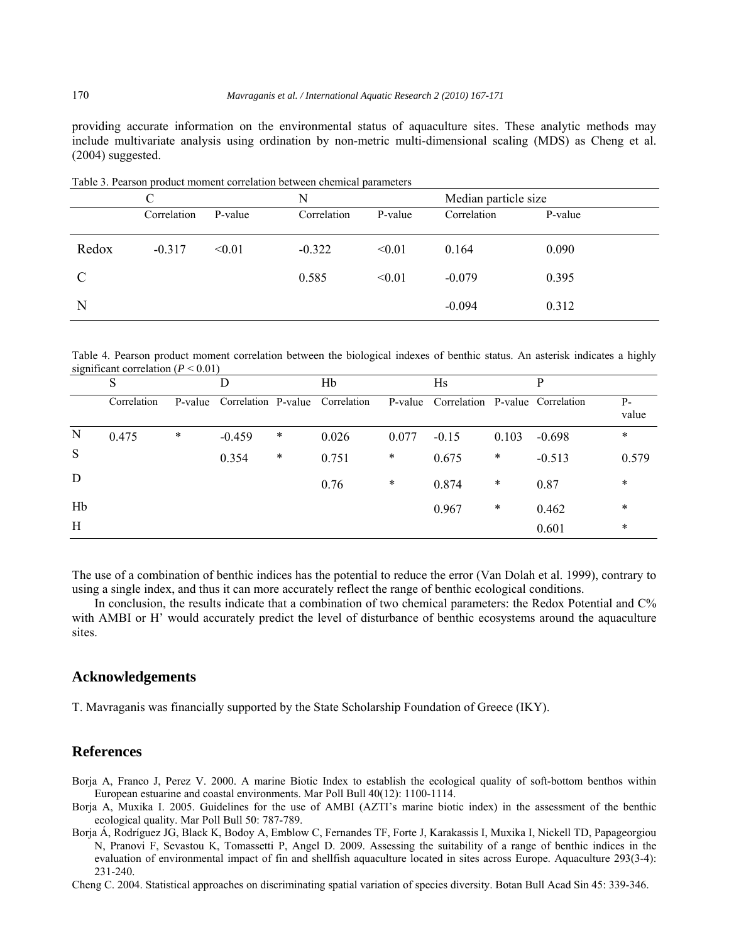providing accurate information on the environmental status of aquaculture sites. These analytic methods may include multivariate analysis using ordination by non-metric multi-dimensional scaling (MDS) as Cheng et al. (2004) suggested.

|               | C           |         | N           |         | Median particle size |         |  |
|---------------|-------------|---------|-------------|---------|----------------------|---------|--|
|               | Correlation | P-value | Correlation | P-value | Correlation          | P-value |  |
| Redox         | $-0.317$    | < 0.01  | $-0.322$    | < 0.01  | 0.164                | 0.090   |  |
| $\mathcal{C}$ |             |         | 0.585       | < 0.01  | $-0.079$             | 0.395   |  |
| N             |             |         |             |         | $-0.094$             | 0.312   |  |

Table 3. Pearson product moment correlation between chemical parameters

Table 4. Pearson product moment correlation between the biological indexes of benthic status. An asterisk indicates a highly significant correlation  $(P < 0.01)$ 

|    | S           |         | D        |        | Hb                              |        | Hs                                      |        | P        |                |
|----|-------------|---------|----------|--------|---------------------------------|--------|-----------------------------------------|--------|----------|----------------|
|    | Correlation | P-value |          |        | Correlation P-value Correlation |        | P-value Correlation P-value Correlation |        |          | $P -$<br>value |
| N  | 0.475       | $\ast$  | $-0.459$ | $\ast$ | 0.026                           | 0.077  | $-0.15$                                 | 0.103  | $-0.698$ | $\ast$         |
| S  |             |         | 0.354    | $\ast$ | 0.751                           | $\ast$ | 0.675                                   | $\ast$ | $-0.513$ | 0.579          |
| D  |             |         |          |        | 0.76                            | $\ast$ | 0.874                                   | $\ast$ | 0.87     | $\ast$         |
| Hb |             |         |          |        |                                 |        | 0.967                                   | $\ast$ | 0.462    | $\ast$         |
| Η  |             |         |          |        |                                 |        |                                         |        | 0.601    | $\ast$         |

The use of a combination of benthic indices has the potential to reduce the error (Van Dolah et al. 1999), contrary to using a single index, and thus it can more accurately reflect the range of benthic ecological conditions.

In conclusion, the results indicate that a combination of two chemical parameters: the Redox Potential and C% with AMBI or H' would accurately predict the level of disturbance of benthic ecosystems around the aquaculture sites.

# **Acknowledgements**

T. Mavraganis was financially supported by the State Scholarship Foundation of Greece (IKY).

### **References**

- Borja A, Franco J, Perez V. 2000. A marine Biotic Index to establish the ecological quality of soft-bottom benthos within European estuarine and coastal environments. Mar Poll Bull 40(12): 1100-1114.
- Borja A, Muxika I. 2005. Guidelines for the use of AMBI (AZTI's marine biotic index) in the assessment of the benthic ecological quality. Mar Poll Bull 50: 787-789.
- Borja Á, Rodríguez JG, Black K, Bodoy A, Emblow C, Fernandes TF, Forte J, Karakassis I, Muxika I, Nickell TD, Papageorgiou N, Pranovi F, Sevastou K, Tomassetti P, Angel D. 2009. Assessing the suitability of a range of benthic indices in the evaluation of environmental impact of fin and shellfish aquaculture located in sites across Europe. Aquaculture 293(3-4): 231-240.

Cheng C. 2004. Statistical approaches on discriminating spatial variation of species diversity. Botan Bull Acad Sin 45: 339-346.